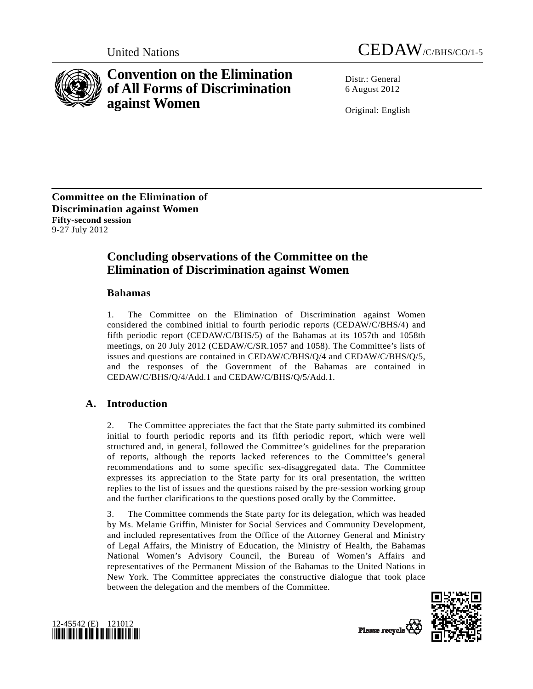



# **Convention on the Elimination of All Forms of Discrimination against Women**

Distr · General 6 August 2012

Original: English

**Committee on the Elimination of Discrimination against Women Fifty-second session**  9-27 July 2012

## **Concluding observations of the Committee on the Elimination of Discrimination against Women**

## **Bahamas**

1. The Committee on the Elimination of Discrimination against Women considered the combined initial to fourth periodic reports (CEDAW/C/BHS/4) and fifth periodic report (CEDAW/C/BHS/5) of the Bahamas at its 1057th and 1058th meetings, on 20 July 2012 (CEDAW/C/SR.1057 and 1058). The Committee's lists of issues and questions are contained in CEDAW/C/BHS/Q/4 and CEDAW/C/BHS/Q/5, and the responses of the Government of the Bahamas are contained in CEDAW/C/BHS/Q/4/Add.1 and CEDAW/C/BHS/Q/5/Add.1.

## **A. Introduction**

2. The Committee appreciates the fact that the State party submitted its combined initial to fourth periodic reports and its fifth periodic report, which were well structured and, in general, followed the Committee's guidelines for the preparation of reports, although the reports lacked references to the Committee's general recommendations and to some specific sex-disaggregated data. The Committee expresses its appreciation to the State party for its oral presentation, the written replies to the list of issues and the questions raised by the pre-session working group and the further clarifications to the questions posed orally by the Committee.

3. The Committee commends the State party for its delegation, which was headed by Ms. Melanie Griffin, Minister for Social Services and Community Development, and included representatives from the Office of the Attorney General and Ministry of Legal Affairs, the Ministry of Education, the Ministry of Health, the Bahamas National Women's Advisory Council, the Bureau of Women's Affairs and representatives of the Permanent Mission of the Bahamas to the United Nations in New York. The Committee appreciates the constructive dialogue that took place between the delegation and the members of the Committee.



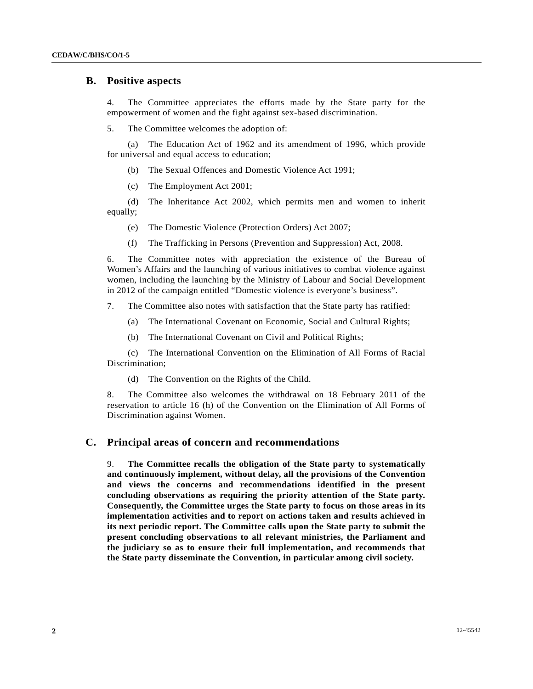### **B. Positive aspects**

4. The Committee appreciates the efforts made by the State party for the empowerment of women and the fight against sex-based discrimination.

5. The Committee welcomes the adoption of:

 (a) The Education Act of 1962 and its amendment of 1996, which provide for universal and equal access to education;

- (b) The Sexual Offences and Domestic Violence Act 1991;
- (c) The Employment Act 2001;

 (d) The Inheritance Act 2002, which permits men and women to inherit equally;

- (e) The Domestic Violence (Protection Orders) Act 2007;
- (f) The Trafficking in Persons (Prevention and Suppression) Act, 2008.

6. The Committee notes with appreciation the existence of the Bureau of Women's Affairs and the launching of various initiatives to combat violence against women, including the launching by the Ministry of Labour and Social Development in 2012 of the campaign entitled "Domestic violence is everyone's business".

7. The Committee also notes with satisfaction that the State party has ratified:

- (a) The International Covenant on Economic, Social and Cultural Rights;
- (b) The International Covenant on Civil and Political Rights;

 (c) The International Convention on the Elimination of All Forms of Racial Discrimination;

(d) The Convention on the Rights of the Child.

8. The Committee also welcomes the withdrawal on 18 February 2011 of the reservation to article 16 (h) of the Convention on the Elimination of All Forms of Discrimination against Women.

### **C. Principal areas of concern and recommendations**

9. **The Committee recalls the obligation of the State party to systematically and continuously implement, without delay, all the provisions of the Convention and views the concerns and recommendations identified in the present concluding observations as requiring the priority attention of the State party. Consequently, the Committee urges the State party to focus on those areas in its implementation activities and to report on actions taken and results achieved in its next periodic report. The Committee calls upon the State party to submit the present concluding observations to all relevant ministries, the Parliament and the judiciary so as to ensure their full implementation, and recommends that the State party disseminate the Convention, in particular among civil society.**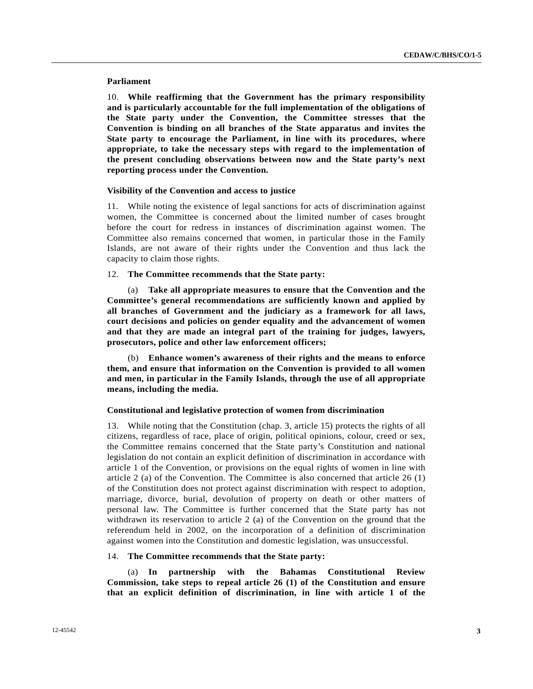#### **Parliament**

10. **While reaffirming that the Government has the primary responsibility and is particularly accountable for the full implementation of the obligations of the State party under the Convention, the Committee stresses that the Convention is binding on all branches of the State apparatus and invites the State party to encourage the Parliament, in line with its procedures, where appropriate, to take the necessary steps with regard to the implementation of the present concluding observations between now and the State party's next reporting process under the Convention.**

#### **Visibility of the Convention and access to justice**

11. While noting the existence of legal sanctions for acts of discrimination against women, the Committee is concerned about the limited number of cases brought before the court for redress in instances of discrimination against women. The Committee also remains concerned that women, in particular those in the Family Islands, are not aware of their rights under the Convention and thus lack the capacity to claim those rights.

#### 12. **The Committee recommends that the State party:**

 (a) **Take all appropriate measures to ensure that the Convention and the Committee's general recommendations are sufficiently known and applied by all branches of Government and the judiciary as a framework for all laws, court decisions and policies on gender equality and the advancement of women and that they are made an integral part of the training for judges, lawyers, prosecutors, police and other law enforcement officers;** 

 (b) **Enhance women's awareness of their rights and the means to enforce them, and ensure that information on the Convention is provided to all women and men, in particular in the Family Islands, through the use of all appropriate means, including the media.**

#### **Constitutional and legislative protection of women from discrimination**

13. While noting that the Constitution (chap. 3, article 15) protects the rights of all citizens, regardless of race, place of origin, political opinions, colour, creed or sex, the Committee remains concerned that the State party's Constitution and national legislation do not contain an explicit definition of discrimination in accordance with article 1 of the Convention, or provisions on the equal rights of women in line with article 2 (a) of the Convention. The Committee is also concerned that article 26 (1) of the Constitution does not protect against discrimination with respect to adoption, marriage, divorce, burial, devolution of property on death or other matters of personal law. The Committee is further concerned that the State party has not withdrawn its reservation to article 2 (a) of the Convention on the ground that the referendum held in 2002, on the incorporation of a definition of discrimination against women into the Constitution and domestic legislation, was unsuccessful.

#### 14. **The Committee recommends that the State party:**

 (a) **In partnership with the Bahamas Constitutional Review Commission, take steps to repeal article 26 (1) of the Constitution and ensure that an explicit definition of discrimination, in line with article 1 of the**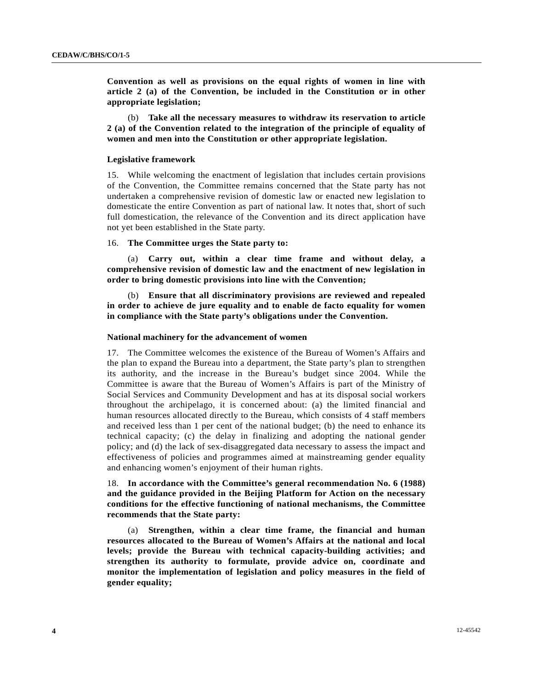**Convention as well as provisions on the equal rights of women in line with article 2 (a) of the Convention, be included in the Constitution or in other appropriate legislation;** 

 (b) **Take all the necessary measures to withdraw its reservation to article 2 (a) of the Convention related to the integration of the principle of equality of women and men into the Constitution or other appropriate legislation.**

#### **Legislative framework**

15. While welcoming the enactment of legislation that includes certain provisions of the Convention, the Committee remains concerned that the State party has not undertaken a comprehensive revision of domestic law or enacted new legislation to domesticate the entire Convention as part of national law. It notes that, short of such full domestication, the relevance of the Convention and its direct application have not yet been established in the State party.

#### 16. **The Committee urges the State party to:**

 (a) **Carry out, within a clear time frame and without delay, a comprehensive revision of domestic law and the enactment of new legislation in order to bring domestic provisions into line with the Convention;** 

 (b) **Ensure that all discriminatory provisions are reviewed and repealed in order to achieve de jure equality and to enable de facto equality for women in compliance with the State party's obligations under the Convention.**

#### **National machinery for the advancement of women**

17. The Committee welcomes the existence of the Bureau of Women's Affairs and the plan to expand the Bureau into a department, the State party's plan to strengthen its authority, and the increase in the Bureau's budget since 2004. While the Committee is aware that the Bureau of Women's Affairs is part of the Ministry of Social Services and Community Development and has at its disposal social workers throughout the archipelago, it is concerned about: (a) the limited financial and human resources allocated directly to the Bureau, which consists of 4 staff members and received less than 1 per cent of the national budget; (b) the need to enhance its technical capacity; (c) the delay in finalizing and adopting the national gender policy; and (d) the lack of sex-disaggregated data necessary to assess the impact and effectiveness of policies and programmes aimed at mainstreaming gender equality and enhancing women's enjoyment of their human rights.

18. **In accordance with the Committee's general recommendation No. 6 (1988) and the guidance provided in the Beijing Platform for Action on the necessary conditions for the effective functioning of national mechanisms, the Committee recommends that the State party:**

 (a) **Strengthen, within a clear time frame, the financial and human resources allocated to the Bureau of Women's Affairs at the national and local levels; provide the Bureau with technical capacity-building activities; and strengthen its authority to formulate, provide advice on, coordinate and monitor the implementation of legislation and policy measures in the field of gender equality;**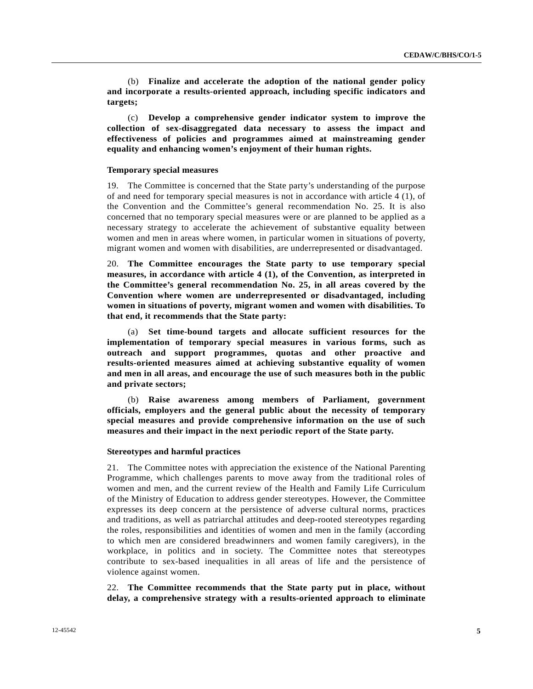(b) **Finalize and accelerate the adoption of the national gender policy and incorporate a results-oriented approach, including specific indicators and targets;**

 (c) **Develop a comprehensive gender indicator system to improve the collection of sex-disaggregated data necessary to assess the impact and effectiveness of policies and programmes aimed at mainstreaming gender equality and enhancing women's enjoyment of their human rights.**

#### **Temporary special measures**

19. The Committee is concerned that the State party's understanding of the purpose of and need for temporary special measures is not in accordance with article 4 (1), of the Convention and the Committee's general recommendation No. 25. It is also concerned that no temporary special measures were or are planned to be applied as a necessary strategy to accelerate the achievement of substantive equality between women and men in areas where women, in particular women in situations of poverty, migrant women and women with disabilities, are underrepresented or disadvantaged.

20. **The Committee encourages the State party to use temporary special measures, in accordance with article 4 (1), of the Convention, as interpreted in the Committee's general recommendation No. 25, in all areas covered by the Convention where women are underrepresented or disadvantaged, including women in situations of poverty, migrant women and women with disabilities. To that end, it recommends that the State party:**

 (a) **Set time-bound targets and allocate sufficient resources for the implementation of temporary special measures in various forms, such as outreach and support programmes, quotas and other proactive and results-oriented measures aimed at achieving substantive equality of women and men in all areas, and encourage the use of such measures both in the public and private sectors;**

 (b) **Raise awareness among members of Parliament, government officials, employers and the general public about the necessity of temporary special measures and provide comprehensive information on the use of such measures and their impact in the next periodic report of the State party.**

#### **Stereotypes and harmful practices**

21. The Committee notes with appreciation the existence of the National Parenting Programme, which challenges parents to move away from the traditional roles of women and men, and the current review of the Health and Family Life Curriculum of the Ministry of Education to address gender stereotypes. However, the Committee expresses its deep concern at the persistence of adverse cultural norms, practices and traditions, as well as patriarchal attitudes and deep-rooted stereotypes regarding the roles, responsibilities and identities of women and men in the family (according to which men are considered breadwinners and women family caregivers), in the workplace, in politics and in society. The Committee notes that stereotypes contribute to sex-based inequalities in all areas of life and the persistence of violence against women.

22. **The Committee recommends that the State party put in place, without delay, a comprehensive strategy with a results-oriented approach to eliminate**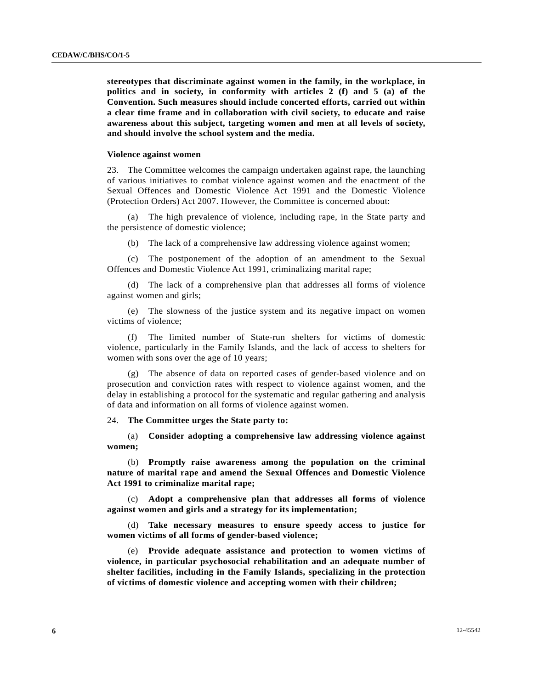**stereotypes that discriminate against women in the family, in the workplace, in politics and in society, in conformity with articles 2 (f) and 5 (a) of the Convention. Such measures should include concerted efforts, carried out within a clear time frame and in collaboration with civil society, to educate and raise awareness about this subject, targeting women and men at all levels of society, and should involve the school system and the media.**

#### **Violence against women**

23. The Committee welcomes the campaign undertaken against rape, the launching of various initiatives to combat violence against women and the enactment of the Sexual Offences and Domestic Violence Act 1991 and the Domestic Violence (Protection Orders) Act 2007. However, the Committee is concerned about:

 (a) The high prevalence of violence, including rape, in the State party and the persistence of domestic violence;

(b) The lack of a comprehensive law addressing violence against women;

 (c) The postponement of the adoption of an amendment to the Sexual Offences and Domestic Violence Act 1991, criminalizing marital rape;

 (d) The lack of a comprehensive plan that addresses all forms of violence against women and girls;

 (e) The slowness of the justice system and its negative impact on women victims of violence;

 (f) The limited number of State-run shelters for victims of domestic violence, particularly in the Family Islands, and the lack of access to shelters for women with sons over the age of 10 years;

 (g) The absence of data on reported cases of gender-based violence and on prosecution and conviction rates with respect to violence against women, and the delay in establishing a protocol for the systematic and regular gathering and analysis of data and information on all forms of violence against women.

24. **The Committee urges the State party to:**

 (a) **Consider adopting a comprehensive law addressing violence against women;**

 (b) **Promptly raise awareness among the population on the criminal nature of marital rape and amend the Sexual Offences and Domestic Violence Act 1991 to criminalize marital rape;**

 (c) **Adopt a comprehensive plan that addresses all forms of violence against women and girls and a strategy for its implementation;**

 (d) **Take necessary measures to ensure speedy access to justice for women victims of all forms of gender-based violence;**

 (e) **Provide adequate assistance and protection to women victims of violence, in particular psychosocial rehabilitation and an adequate number of shelter facilities, including in the Family Islands, specializing in the protection of victims of domestic violence and accepting women with their children;**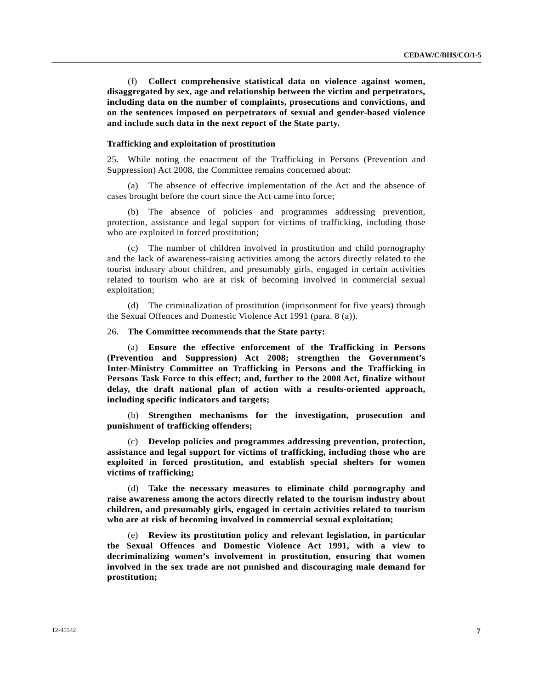(f) **Collect comprehensive statistical data on violence against women, disaggregated by sex, age and relationship between the victim and perpetrators, including data on the number of complaints, prosecutions and convictions, and on the sentences imposed on perpetrators of sexual and gender-based violence and include such data in the next report of the State party.**

#### **Trafficking and exploitation of prostitution**

25. While noting the enactment of the Trafficking in Persons (Prevention and Suppression) Act 2008, the Committee remains concerned about:

 (a) The absence of effective implementation of the Act and the absence of cases brought before the court since the Act came into force;

 (b) The absence of policies and programmes addressing prevention, protection, assistance and legal support for victims of trafficking, including those who are exploited in forced prostitution;

 (c) The number of children involved in prostitution and child pornography and the lack of awareness-raising activities among the actors directly related to the tourist industry about children, and presumably girls, engaged in certain activities related to tourism who are at risk of becoming involved in commercial sexual exploitation;

 (d) The criminalization of prostitution (imprisonment for five years) through the Sexual Offences and Domestic Violence Act 1991 (para. 8 (a)).

#### 26. **The Committee recommends that the State party:**

 (a) **Ensure the effective enforcement of the Trafficking in Persons (Prevention and Suppression) Act 2008; strengthen the Government's Inter-Ministry Committee on Trafficking in Persons and the Trafficking in Persons Task Force to this effect; and, further to the 2008 Act, finalize without delay, the draft national plan of action with a results-oriented approach, including specific indicators and targets;**

 (b) **Strengthen mechanisms for the investigation, prosecution and punishment of trafficking offenders;**

 (c) **Develop policies and programmes addressing prevention, protection, assistance and legal support for victims of trafficking, including those who are exploited in forced prostitution, and establish special shelters for women victims of trafficking;**

 (d) **Take the necessary measures to eliminate child pornography and raise awareness among the actors directly related to the tourism industry about children, and presumably girls, engaged in certain activities related to tourism who are at risk of becoming involved in commercial sexual exploitation;**

 (e) **Review its prostitution policy and relevant legislation, in particular the Sexual Offences and Domestic Violence Act 1991, with a view to decriminalizing women's involvement in prostitution, ensuring that women involved in the sex trade are not punished and discouraging male demand for prostitution;**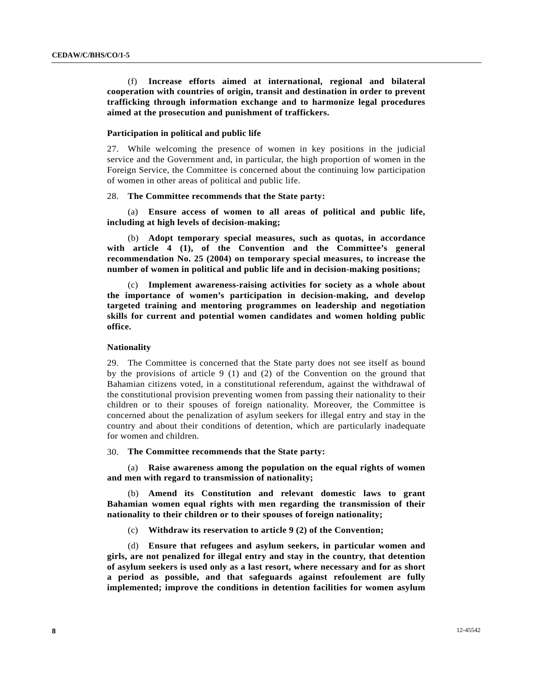(f) **Increase efforts aimed at international, regional and bilateral cooperation with countries of origin, transit and destination in order to prevent trafficking through information exchange and to harmonize legal procedures aimed at the prosecution and punishment of traffickers.**

#### **Participation in political and public life**

27. While welcoming the presence of women in key positions in the judicial service and the Government and, in particular, the high proportion of women in the Foreign Service, the Committee is concerned about the continuing low participation of women in other areas of political and public life.

#### 28. **The Committee recommends that the State party:**

 (a) **Ensure access of women to all areas of political and public life, including at high levels of decision-making;**

 (b) **Adopt temporary special measures, such as quotas, in accordance with article 4 (1), of the Convention and the Committee's general recommendation No. 25 (2004) on temporary special measures, to increase the number of women in political and public life and in decision-making positions;**

 (c) **Implement awareness-raising activities for society as a whole about the importance of women's participation in decision-making, and develop targeted training and mentoring programmes on leadership and negotiation skills for current and potential women candidates and women holding public office.**

#### **Nationality**

29. The Committee is concerned that the State party does not see itself as bound by the provisions of article 9 (1) and (2) of the Convention on the ground that Bahamian citizens voted, in a constitutional referendum, against the withdrawal of the constitutional provision preventing women from passing their nationality to their children or to their spouses of foreign nationality. Moreover, the Committee is concerned about the penalization of asylum seekers for illegal entry and stay in the country and about their conditions of detention, which are particularly inadequate for women and children.

30. **The Committee recommends that the State party:**

 (a) **Raise awareness among the population on the equal rights of women and men with regard to transmission of nationality;**

 (b) **Amend its Constitution and relevant domestic laws to grant Bahamian women equal rights with men regarding the transmission of their nationality to their children or to their spouses of foreign nationality;**

(c) **Withdraw its reservation to article 9 (2) of the Convention;**

 (d) **Ensure that refugees and asylum seekers, in particular women and girls, are not penalized for illegal entry and stay in the country, that detention of asylum seekers is used only as a last resort, where necessary and for as short a period as possible, and that safeguards against refoulement are fully implemented; improve the conditions in detention facilities for women asylum**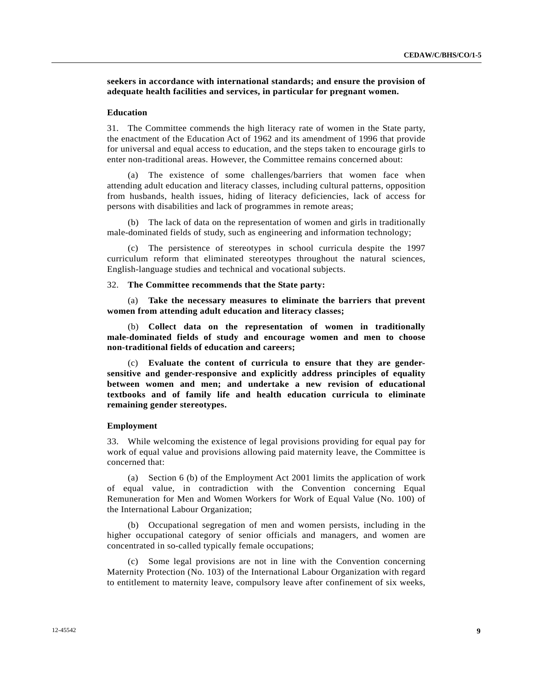**seekers in accordance with international standards; and ensure the provision of adequate health facilities and services, in particular for pregnant women.**

#### **Education**

31. The Committee commends the high literacy rate of women in the State party, the enactment of the Education Act of 1962 and its amendment of 1996 that provide for universal and equal access to education, and the steps taken to encourage girls to enter non-traditional areas. However, the Committee remains concerned about:

 (a) The existence of some challenges/barriers that women face when attending adult education and literacy classes, including cultural patterns, opposition from husbands, health issues, hiding of literacy deficiencies, lack of access for persons with disabilities and lack of programmes in remote areas;

 (b) The lack of data on the representation of women and girls in traditionally male-dominated fields of study, such as engineering and information technology;

 (c) The persistence of stereotypes in school curricula despite the 1997 curriculum reform that eliminated stereotypes throughout the natural sciences, English-language studies and technical and vocational subjects.

#### 32. **The Committee recommends that the State party:**

 (a) **Take the necessary measures to eliminate the barriers that prevent women from attending adult education and literacy classes;**

 (b) **Collect data on the representation of women in traditionally male-dominated fields of study and encourage women and men to choose non-traditional fields of education and careers;**

 (c) **Evaluate the content of curricula to ensure that they are gendersensitive and gender-responsive and explicitly address principles of equality between women and men; and undertake a new revision of educational textbooks and of family life and health education curricula to eliminate remaining gender stereotypes.**

#### **Employment**

33. While welcoming the existence of legal provisions providing for equal pay for work of equal value and provisions allowing paid maternity leave, the Committee is concerned that:

 (a) Section 6 (b) of the Employment Act 2001 limits the application of work of equal value, in contradiction with the Convention concerning Equal Remuneration for Men and Women Workers for Work of Equal Value (No. 100) of the International Labour Organization;

 (b) Occupational segregation of men and women persists, including in the higher occupational category of senior officials and managers, and women are concentrated in so-called typically female occupations;

 (c) Some legal provisions are not in line with the Convention concerning Maternity Protection (No. 103) of the International Labour Organization with regard to entitlement to maternity leave, compulsory leave after confinement of six weeks,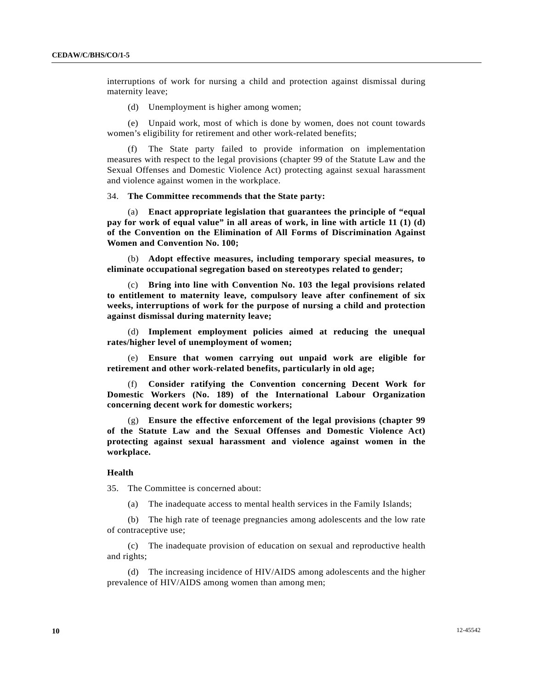interruptions of work for nursing a child and protection against dismissal during maternity leave;

(d) Unemployment is higher among women;

 (e) Unpaid work, most of which is done by women, does not count towards women's eligibility for retirement and other work-related benefits;

The State party failed to provide information on implementation measures with respect to the legal provisions (chapter 99 of the Statute Law and the Sexual Offenses and Domestic Violence Act) protecting against sexual harassment and violence against women in the workplace.

34. **The Committee recommends that the State party:**

 (a) **Enact appropriate legislation that guarantees the principle of "equal pay for work of equal value" in all areas of work, in line with article 11 (1) (d) of the Convention on the Elimination of All Forms of Discrimination Against Women and Convention No. 100;**

 (b) **Adopt effective measures, including temporary special measures, to eliminate occupational segregation based on stereotypes related to gender;**

 (c) **Bring into line with Convention No. 103 the legal provisions related to entitlement to maternity leave, compulsory leave after confinement of six weeks, interruptions of work for the purpose of nursing a child and protection against dismissal during maternity leave;**

 (d) **Implement employment policies aimed at reducing the unequal rates/higher level of unemployment of women;**

 (e) **Ensure that women carrying out unpaid work are eligible for retirement and other work-related benefits, particularly in old age;**

 (f) **Consider ratifying the Convention concerning Decent Work for Domestic Workers (No. 189) of the International Labour Organization concerning decent work for domestic workers;**

 (g) **Ensure the effective enforcement of the legal provisions (chapter 99 of the Statute Law and the Sexual Offenses and Domestic Violence Act) protecting against sexual harassment and violence against women in the workplace.**

#### **Health**

35. The Committee is concerned about:

(a) The inadequate access to mental health services in the Family Islands;

 (b) The high rate of teenage pregnancies among adolescents and the low rate of contraceptive use;

 (c) The inadequate provision of education on sexual and reproductive health and rights;

 (d) The increasing incidence of HIV/AIDS among adolescents and the higher prevalence of HIV/AIDS among women than among men;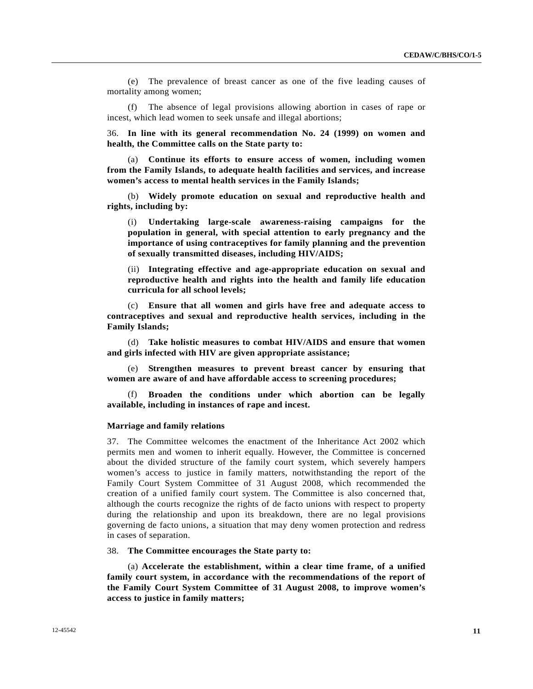(e) The prevalence of breast cancer as one of the five leading causes of mortality among women;

The absence of legal provisions allowing abortion in cases of rape or incest, which lead women to seek unsafe and illegal abortions;

36. **In line with its general recommendation No. 24 (1999) on women and health, the Committee calls on the State party to:**

 (a) **Continue its efforts to ensure access of women, including women from the Family Islands, to adequate health facilities and services, and increase women's access to mental health services in the Family Islands;**

 (b) **Widely promote education on sexual and reproductive health and rights, including by:**

 (i) **Undertaking large-scale awareness-raising campaigns for the population in general, with special attention to early pregnancy and the importance of using contraceptives for family planning and the prevention of sexually transmitted diseases, including HIV/AIDS;**

 (ii) **Integrating effective and age-appropriate education on sexual and reproductive health and rights into the health and family life education curricula for all school levels;** 

 (c) **Ensure that all women and girls have free and adequate access to contraceptives and sexual and reproductive health services, including in the Family Islands;**

 (d) **Take holistic measures to combat HIV/AIDS and ensure that women and girls infected with HIV are given appropriate assistance;**

 (e) **Strengthen measures to prevent breast cancer by ensuring that women are aware of and have affordable access to screening procedures;**

**Broaden the conditions under which abortion can be legally available, including in instances of rape and incest.**

#### **Marriage and family relations**

37. The Committee welcomes the enactment of the Inheritance Act 2002 which permits men and women to inherit equally. However, the Committee is concerned about the divided structure of the family court system, which severely hampers women's access to justice in family matters, notwithstanding the report of the Family Court System Committee of 31 August 2008, which recommended the creation of a unified family court system. The Committee is also concerned that, although the courts recognize the rights of de facto unions with respect to property during the relationship and upon its breakdown, there are no legal provisions governing de facto unions, a situation that may deny women protection and redress in cases of separation.

38. **The Committee encourages the State party to:**

 (a) **Accelerate the establishment, within a clear time frame, of a unified family court system, in accordance with the recommendations of the report of the Family Court System Committee of 31 August 2008, to improve women's access to justice in family matters;**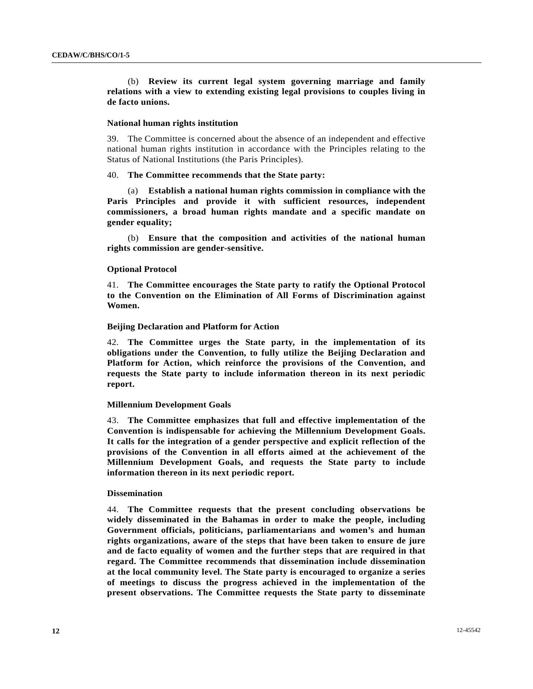(b) **Review its current legal system governing marriage and family relations with a view to extending existing legal provisions to couples living in de facto unions.** 

#### **National human rights institution**

39. The Committee is concerned about the absence of an independent and effective national human rights institution in accordance with the Principles relating to the Status of National Institutions (the Paris Principles).

#### 40. **The Committee recommends that the State party:**

 (a) **Establish a national human rights commission in compliance with the Paris Principles and provide it with sufficient resources, independent commissioners, a broad human rights mandate and a specific mandate on gender equality;** 

 (b) **Ensure that the composition and activities of the national human rights commission are gender-sensitive.** 

#### **Optional Protocol**

41. **The Committee encourages the State party to ratify the Optional Protocol to the Convention on the Elimination of All Forms of Discrimination against Women.**

#### **Beijing Declaration and Platform for Action**

42. **The Committee urges the State party, in the implementation of its obligations under the Convention, to fully utilize the Beijing Declaration and Platform for Action, which reinforce the provisions of the Convention, and requests the State party to include information thereon in its next periodic report.** 

#### **Millennium Development Goals**

43. **The Committee emphasizes that full and effective implementation of the Convention is indispensable for achieving the Millennium Development Goals. It calls for the integration of a gender perspective and explicit reflection of the provisions of the Convention in all efforts aimed at the achievement of the Millennium Development Goals, and requests the State party to include information thereon in its next periodic report.** 

#### **Dissemination**

44. **The Committee requests that the present concluding observations be widely disseminated in the Bahamas in order to make the people, including Government officials, politicians, parliamentarians and women's and human rights organizations, aware of the steps that have been taken to ensure de jure and de facto equality of women and the further steps that are required in that regard. The Committee recommends that dissemination include dissemination at the local community level. The State party is encouraged to organize a series of meetings to discuss the progress achieved in the implementation of the present observations. The Committee requests the State party to disseminate**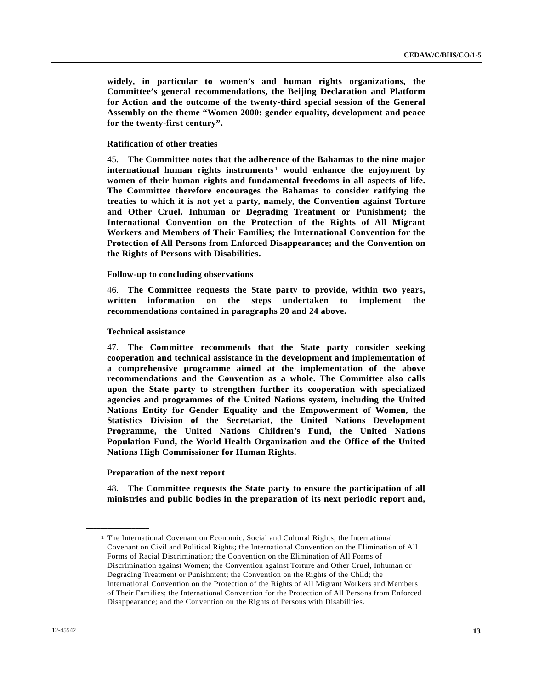**widely, in particular to women's and human rights organizations, the Committee's general recommendations, the Beijing Declaration and Platform for Action and the outcome of the twenty-third special session of the General Assembly on the theme "Women 2000: gender equality, development and peace for the twenty-first century".** 

#### **Ratification of other treaties**

45. **The Committee notes that the adherence of the Bahamas to the nine major international human rights instruments**[1](#page-12-0) **would enhance the enjoyment by women of their human rights and fundamental freedoms in all aspects of life. The Committee therefore encourages the Bahamas to consider ratifying the treaties to which it is not yet a party, namely, the Convention against Torture and Other Cruel, Inhuman or Degrading Treatment or Punishment; the International Convention on the Protection of the Rights of All Migrant Workers and Members of Their Families; the International Convention for the Protection of All Persons from Enforced Disappearance; and the Convention on the Rights of Persons with Disabilities.** 

#### **Follow-up to concluding observations**

46. **The Committee requests the State party to provide, within two years, written information on the steps undertaken to implement the recommendations contained in paragraphs 20 and 24 above.** 

#### **Technical assistance**

47. **The Committee recommends that the State party consider seeking cooperation and technical assistance in the development and implementation of a comprehensive programme aimed at the implementation of the above recommendations and the Convention as a whole. The Committee also calls upon the State party to strengthen further its cooperation with specialized agencies and programmes of the United Nations system, including the United Nations Entity for Gender Equality and the Empowerment of Women, the Statistics Division of the Secretariat, the United Nations Development Programme, the United Nations Children's Fund, the United Nations Population Fund, the World Health Organization and the Office of the United Nations High Commissioner for Human Rights.** 

#### **Preparation of the next report**

<span id="page-12-0"></span>**\_\_\_\_\_\_\_\_\_\_\_\_\_\_\_\_\_\_** 

48. **The Committee requests the State party to ensure the participation of all ministries and public bodies in the preparation of its next periodic report and,** 

<sup>1</sup> The International Covenant on Economic, Social and Cultural Rights; the International Covenant on Civil and Political Rights; the International Convention on the Elimination of All Forms of Racial Discrimination; the Convention on the Elimination of All Forms of Discrimination against Women; the Convention against Torture and Other Cruel, Inhuman or Degrading Treatment or Punishment; the Convention on the Rights of the Child; the International Convention on the Protection of the Rights of All Migrant Workers and Members of Their Families; the International Convention for the Protection of All Persons from Enforced Disappearance; and the Convention on the Rights of Persons with Disabilities.